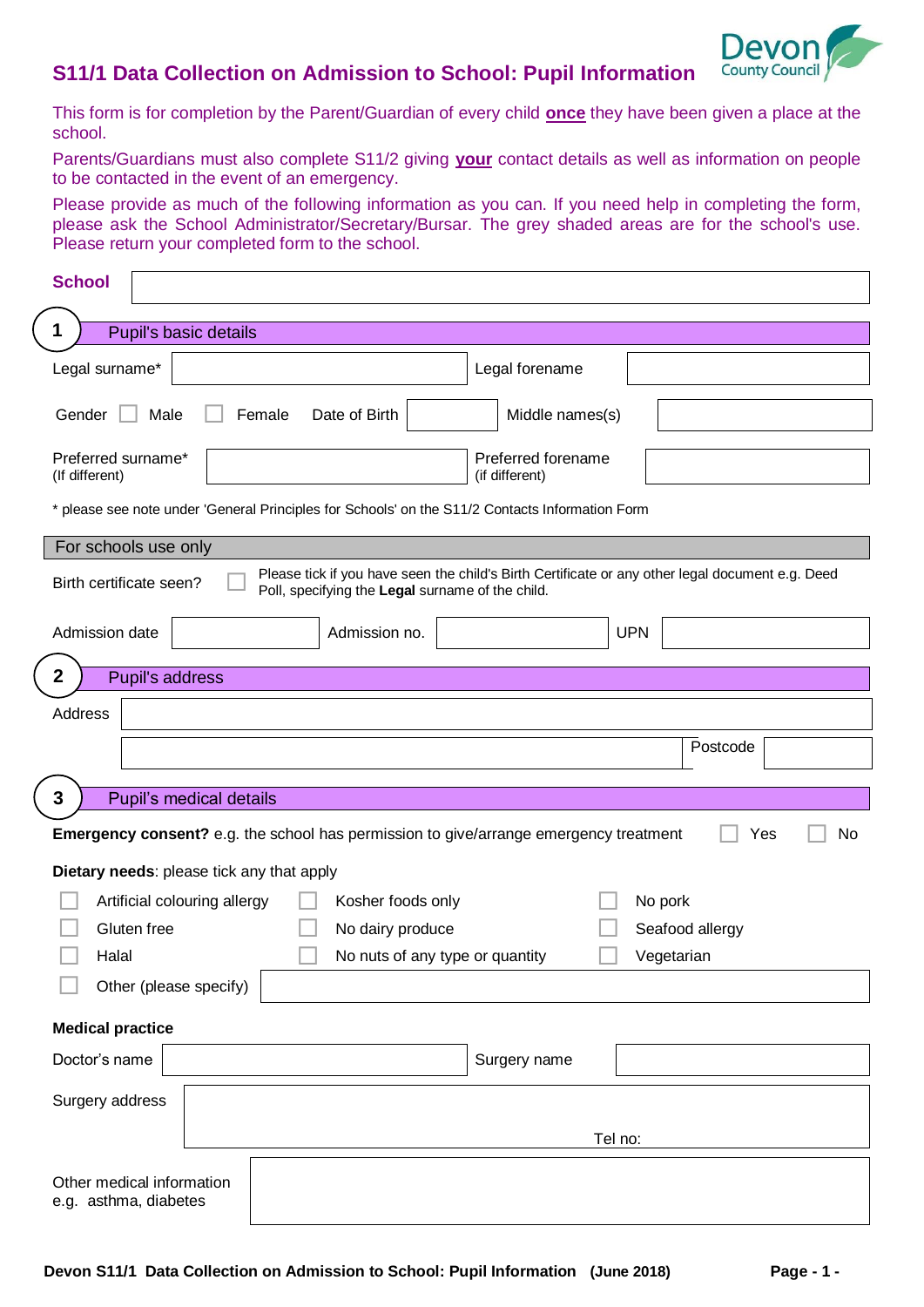

# **S11/1 Data Collection on Admission to School: Pupil Information**

This form is for completion by the Parent/Guardian of every child **once** they have been given a place at the school.

Parents/Guardians must also complete S11/2 giving **your** contact details as well as information on people to be contacted in the event of an emergency.

Please provide as much of the following information as you can. If you need help in completing the form, please ask the School Administrator/Secretary/Bursar. The grey shaded areas are for the school's use. Please return your completed form to the school.

| <b>School</b>                                                                                   |                                                                                                  |
|-------------------------------------------------------------------------------------------------|--------------------------------------------------------------------------------------------------|
| Pupil's basic details<br>1                                                                      |                                                                                                  |
|                                                                                                 |                                                                                                  |
| Legal surname*                                                                                  | Legal forename                                                                                   |
| Date of Birth<br>Gender<br>Male<br>Female                                                       | Middle names(s)                                                                                  |
| Preferred surname*<br>(If different)                                                            | Preferred forename<br>(if different)                                                             |
| * please see note under 'General Principles for Schools' on the S11/2 Contacts Information Form |                                                                                                  |
| For schools use only                                                                            |                                                                                                  |
| Birth certificate seen?<br>Poll, specifying the Legal surname of the child.                     | Please tick if you have seen the child's Birth Certificate or any other legal document e.g. Deed |
| Admission date<br>Admission no.                                                                 | <b>UPN</b>                                                                                       |
| $\mathbf{2}$<br>Pupil's address                                                                 |                                                                                                  |
| <b>Address</b>                                                                                  |                                                                                                  |
|                                                                                                 | Postcode                                                                                         |
|                                                                                                 |                                                                                                  |
| 3<br>Pupil's medical details                                                                    |                                                                                                  |
| <b>Emergency consent?</b> e.g. the school has permission to give/arrange emergency treatment    | Yes<br>No                                                                                        |
| Dietary needs: please tick any that apply                                                       |                                                                                                  |
| Artificial colouring allergy<br>Kosher foods only                                               | No pork                                                                                          |
| Gluten free<br>No dairy produce                                                                 | Seafood allergy                                                                                  |
| Halal                                                                                           | No nuts of any type or quantity<br>Vegetarian                                                    |
| Other (please specify)                                                                          |                                                                                                  |
| <b>Medical practice</b>                                                                         |                                                                                                  |
| Doctor's name                                                                                   | Surgery name                                                                                     |
|                                                                                                 |                                                                                                  |
| Surgery address                                                                                 |                                                                                                  |
|                                                                                                 | Tel no:                                                                                          |
|                                                                                                 |                                                                                                  |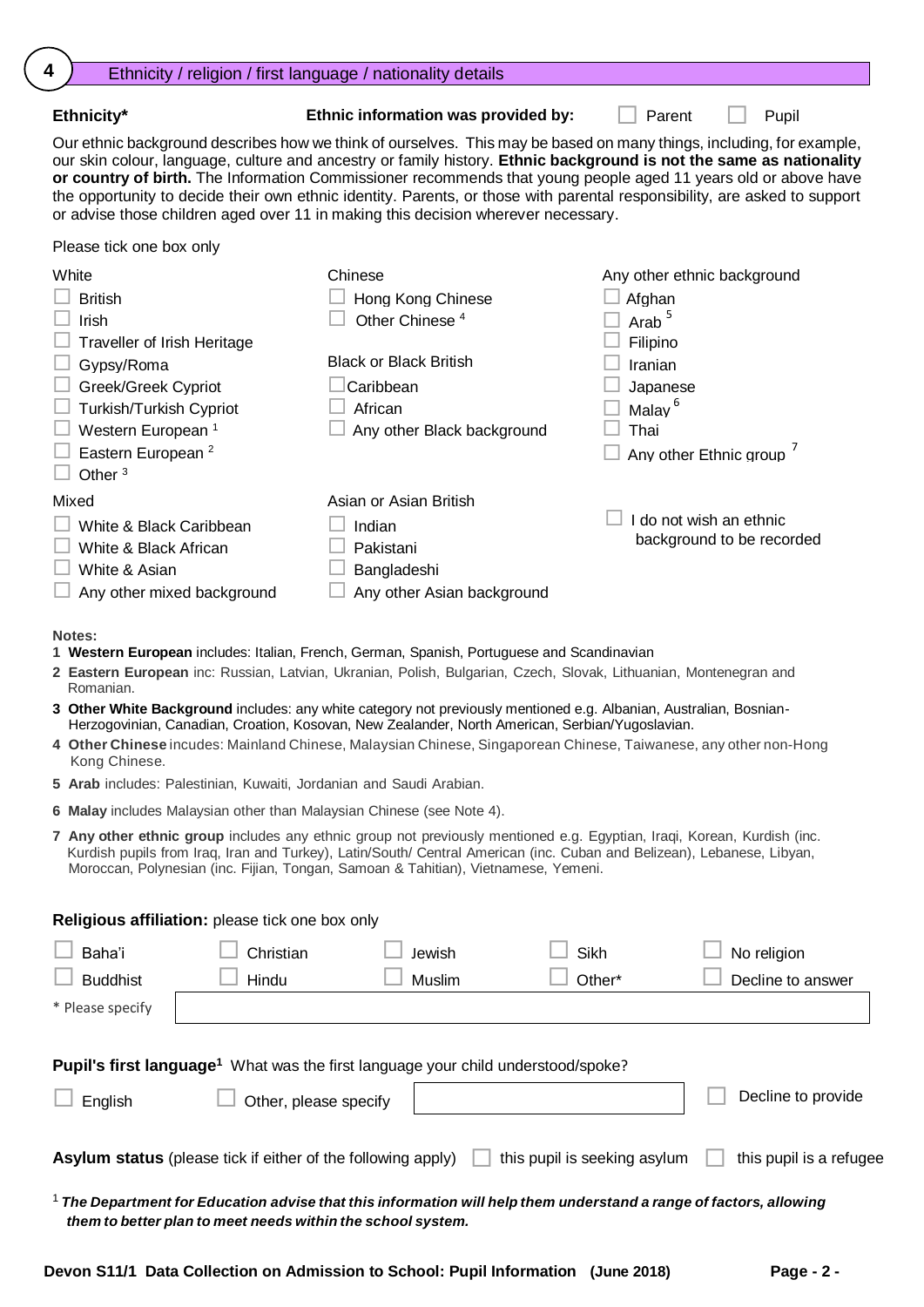| 4<br>Ethnicity / religion / first language / nationality details                                                                                                                                                                                                                                                                                                                                                                                                                                                                     |                                                                                                                                                                                       |                                                                                                                                                                                                                                                                                                                                                                                                                                                                                            |
|--------------------------------------------------------------------------------------------------------------------------------------------------------------------------------------------------------------------------------------------------------------------------------------------------------------------------------------------------------------------------------------------------------------------------------------------------------------------------------------------------------------------------------------|---------------------------------------------------------------------------------------------------------------------------------------------------------------------------------------|--------------------------------------------------------------------------------------------------------------------------------------------------------------------------------------------------------------------------------------------------------------------------------------------------------------------------------------------------------------------------------------------------------------------------------------------------------------------------------------------|
| Ethnicity*                                                                                                                                                                                                                                                                                                                                                                                                                                                                                                                           | Ethnic information was provided by:                                                                                                                                                   | Parent<br>Pupil                                                                                                                                                                                                                                                                                                                                                                                                                                                                            |
| or advise those children aged over 11 in making this decision wherever necessary.                                                                                                                                                                                                                                                                                                                                                                                                                                                    |                                                                                                                                                                                       | Our ethnic background describes how we think of ourselves. This may be based on many things, including, for example,<br>our skin colour, language, culture and ancestry or family history. Ethnic background is not the same as nationality<br>or country of birth. The Information Commissioner recommends that young people aged 11 years old or above have<br>the opportunity to decide their own ethnic identity. Parents, or those with parental responsibility, are asked to support |
| Please tick one box only                                                                                                                                                                                                                                                                                                                                                                                                                                                                                                             |                                                                                                                                                                                       |                                                                                                                                                                                                                                                                                                                                                                                                                                                                                            |
| White<br><b>British</b><br>Irish<br><b>Traveller of Irish Heritage</b><br>Gypsy/Roma<br>Greek/Greek Cypriot<br>Turkish/Turkish Cypriot<br>Western European <sup>1</sup><br>Eastern European <sup>2</sup><br>Other <sup>3</sup>                                                                                                                                                                                                                                                                                                       | Chinese<br>Hong Kong Chinese<br>Other Chinese <sup>4</sup><br><b>Black or Black British</b><br>Caribbean<br>African<br>Any other Black background                                     | Any other ethnic background<br>Afghan<br>Arab <sup>5</sup><br>Filipino<br>Iranian<br>Japanese<br>Malay <sup>6</sup><br>Thai<br>Any other Ethnic group                                                                                                                                                                                                                                                                                                                                      |
| Mixed<br>White & Black Caribbean<br>White & Black African<br>White & Asian<br>Any other mixed background                                                                                                                                                                                                                                                                                                                                                                                                                             | Asian or Asian British<br>Indian<br>Pakistani<br>Bangladeshi<br>Any other Asian background                                                                                            | I do not wish an ethnic<br>background to be recorded                                                                                                                                                                                                                                                                                                                                                                                                                                       |
| <b>Notes:</b><br>1 Western European includes: Italian, French, German, Spanish, Portuguese and Scandinavian<br>2 Eastern European inc: Russian, Latvian, Ukranian, Polish, Bulgarian, Czech, Slovak, Lithuanian, Montenegran and<br>Romanian.<br>3 Other White Background includes: any white category not previously mentioned e.g. Albanian, Australian, Bosnian-<br>Kong Chinese.<br>5 Arab includes: Palestinian, Kuwaiti, Jordanian and Saudi Arabian.<br>6 Malay includes Malaysian other than Malaysian Chinese (see Note 4). | Herzogovinian, Canadian, Croation, Kosovan, New Zealander, North American, Serbian/Yugoslavian.<br>Moroccan, Polynesian (inc. Fijian, Tongan, Samoan & Tahitian), Vietnamese, Yemeni. | 4 Other Chinese incudes: Mainland Chinese, Malaysian Chinese, Singaporean Chinese, Taiwanese, any other non-Hong<br>7 Any other ethnic group includes any ethnic group not previously mentioned e.g. Egyptian, Iraqi, Korean, Kurdish (inc.<br>Kurdish pupils from Iraq, Iran and Turkey), Latin/South/ Central American (inc. Cuban and Belizean), Lebanese, Libyan,                                                                                                                      |
| Religious affiliation: please tick one box only                                                                                                                                                                                                                                                                                                                                                                                                                                                                                      |                                                                                                                                                                                       |                                                                                                                                                                                                                                                                                                                                                                                                                                                                                            |
| Baha'i<br>Christian<br><b>Buddhist</b><br>Hindu<br>* Please specify                                                                                                                                                                                                                                                                                                                                                                                                                                                                  | Jewish<br>Muslim                                                                                                                                                                      | Sikh<br>No religion<br>Other*<br>Decline to answer                                                                                                                                                                                                                                                                                                                                                                                                                                         |
| Pupil's first language <sup>1</sup> What was the first language your child understood/spoke?<br>English<br><b>Asylum status</b> (please tick if either of the following apply)                                                                                                                                                                                                                                                                                                                                                       | Other, please specify                                                                                                                                                                 | Decline to provide<br>this pupil is seeking asylum<br>this pupil is a refugee                                                                                                                                                                                                                                                                                                                                                                                                              |
|                                                                                                                                                                                                                                                                                                                                                                                                                                                                                                                                      |                                                                                                                                                                                       |                                                                                                                                                                                                                                                                                                                                                                                                                                                                                            |

 $^1$  The Department for Education advise that this information will help them understand a range of factors, allowing *them to better plan to meet needs within the school system.*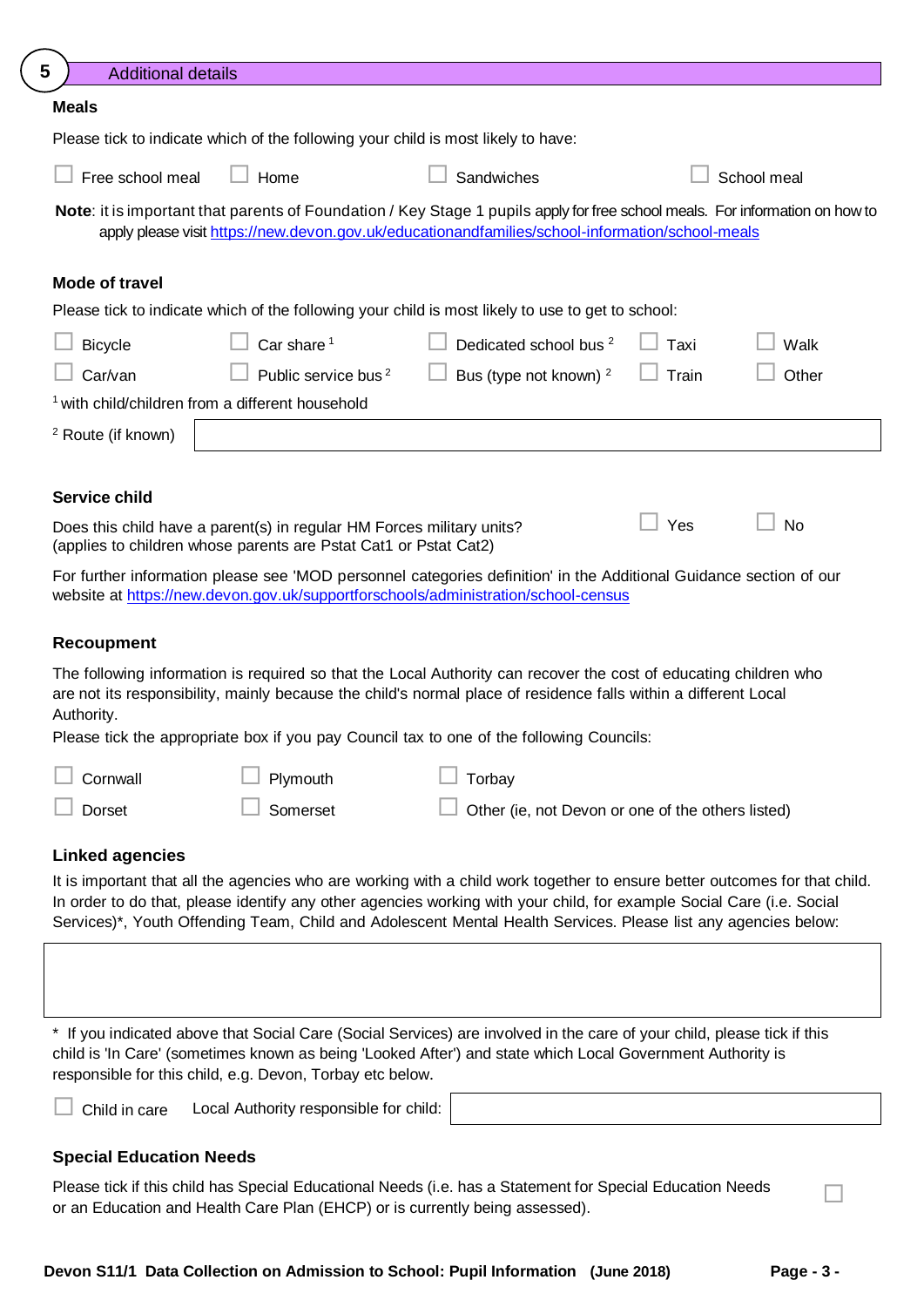| 5<br><b>Additional details</b> |                                                                                                                                           |                                                                                                                                                                                                                                                                                                                                                                       |       |             |
|--------------------------------|-------------------------------------------------------------------------------------------------------------------------------------------|-----------------------------------------------------------------------------------------------------------------------------------------------------------------------------------------------------------------------------------------------------------------------------------------------------------------------------------------------------------------------|-------|-------------|
| <b>Meals</b>                   |                                                                                                                                           |                                                                                                                                                                                                                                                                                                                                                                       |       |             |
|                                | Please tick to indicate which of the following your child is most likely to have:                                                         |                                                                                                                                                                                                                                                                                                                                                                       |       |             |
| Free school meal               | Home                                                                                                                                      | Sandwiches                                                                                                                                                                                                                                                                                                                                                            |       | School meal |
|                                |                                                                                                                                           | Note: it is important that parents of Foundation / Key Stage 1 pupils apply for free school meals. For information on how to<br>apply please visit https://new.devon.gov.uk/educationandfamilies/school-information/school-meals                                                                                                                                      |       |             |
| <b>Mode of travel</b>          |                                                                                                                                           |                                                                                                                                                                                                                                                                                                                                                                       |       |             |
|                                |                                                                                                                                           | Please tick to indicate which of the following your child is most likely to use to get to school:                                                                                                                                                                                                                                                                     |       |             |
| <b>Bicycle</b>                 | Car share <sup>1</sup>                                                                                                                    | Dedicated school bus <sup>2</sup>                                                                                                                                                                                                                                                                                                                                     | Taxi  | Walk        |
| Car/van                        | Public service bus <sup>2</sup>                                                                                                           | Bus (type not known) <sup>2</sup>                                                                                                                                                                                                                                                                                                                                     | Train | Other       |
|                                | <sup>1</sup> with child/children from a different household                                                                               |                                                                                                                                                                                                                                                                                                                                                                       |       |             |
| <sup>2</sup> Route (if known)  |                                                                                                                                           |                                                                                                                                                                                                                                                                                                                                                                       |       |             |
|                                |                                                                                                                                           |                                                                                                                                                                                                                                                                                                                                                                       |       |             |
| <b>Service child</b>           |                                                                                                                                           |                                                                                                                                                                                                                                                                                                                                                                       |       |             |
|                                | Does this child have a parent(s) in regular HM Forces military units?<br>(applies to children whose parents are Pstat Cat1 or Pstat Cat2) |                                                                                                                                                                                                                                                                                                                                                                       | Yes   | <b>No</b>   |
|                                |                                                                                                                                           | For further information please see 'MOD personnel categories definition' in the Additional Guidance section of our<br>website at https://new.devon.gov.uk/supportforschools/administration/school-census                                                                                                                                                              |       |             |
| <b>Recoupment</b>              |                                                                                                                                           |                                                                                                                                                                                                                                                                                                                                                                       |       |             |
| Authority.                     |                                                                                                                                           | The following information is required so that the Local Authority can recover the cost of educating children who<br>are not its responsibility, mainly because the child's normal place of residence falls within a different Local                                                                                                                                   |       |             |
|                                |                                                                                                                                           | Please tick the appropriate box if you pay Council tax to one of the following Councils:                                                                                                                                                                                                                                                                              |       |             |
| Cornwall                       | Plymouth                                                                                                                                  | Torbay                                                                                                                                                                                                                                                                                                                                                                |       |             |
| Dorset                         | Somerset                                                                                                                                  | Other (ie, not Devon or one of the others listed)                                                                                                                                                                                                                                                                                                                     |       |             |
| <b>Linked agencies</b>         |                                                                                                                                           |                                                                                                                                                                                                                                                                                                                                                                       |       |             |
|                                |                                                                                                                                           | It is important that all the agencies who are working with a child work together to ensure better outcomes for that child.<br>In order to do that, please identify any other agencies working with your child, for example Social Care (i.e. Social<br>Services)*, Youth Offending Team, Child and Adolescent Mental Health Services. Please list any agencies below: |       |             |

\* If you indicated above that Social Care (Social Services) are involved in the care of your child, please tick if this child is 'In Care' (sometimes known as being 'Looked After') and state which Local Government Authority is responsible for this child, e.g. Devon, Torbay etc below.

Child in care Local Authority responsible for child:

# **Special Education Needs**

Please tick if this child has Special Educational Needs (i.e. has a Statement for Special Education Needs □□□□<br>or an Education and Health Care Plan (EHCP) or is currently being assessed).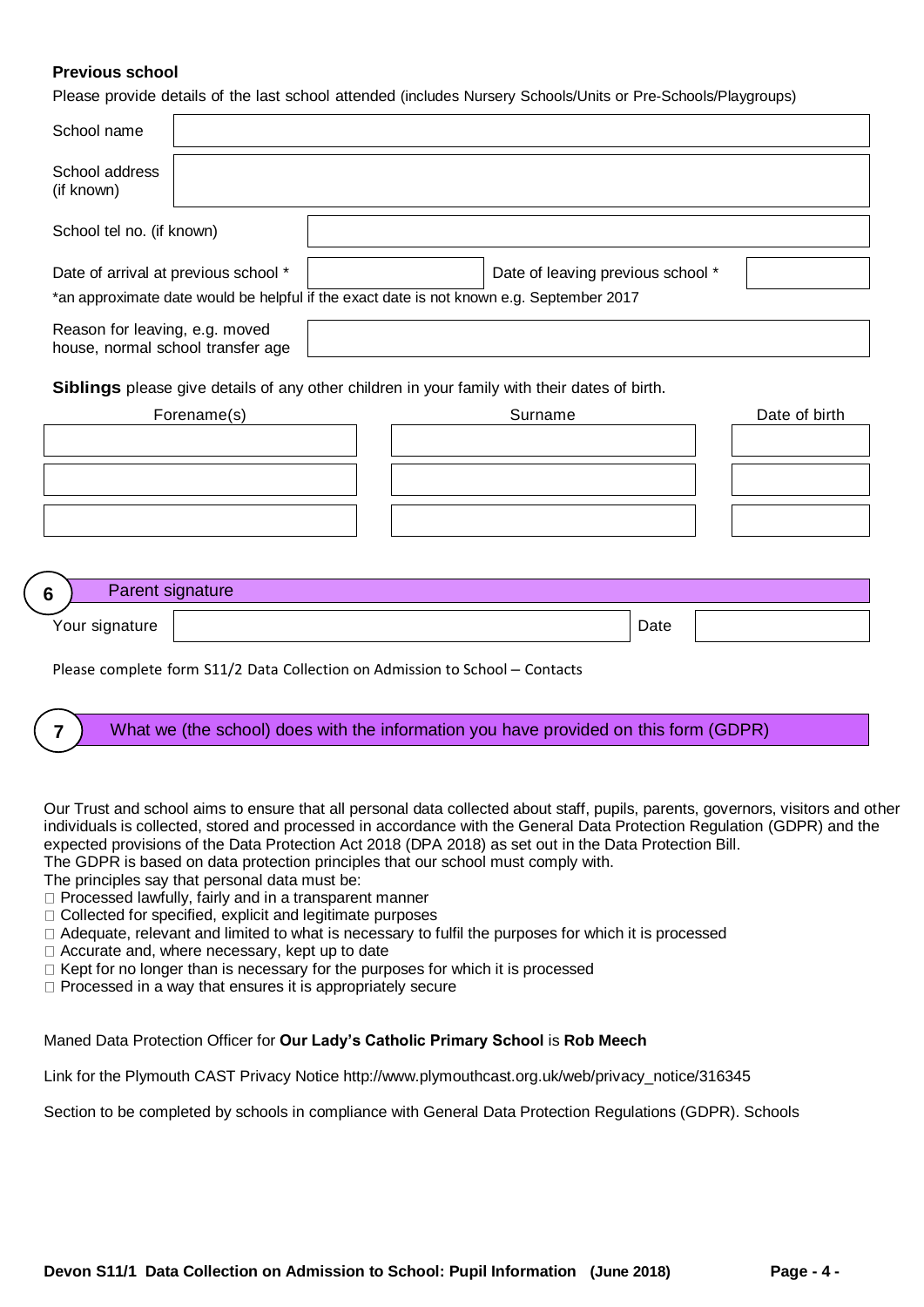# **Previous school**

Please provide details of the last school attended (includes Nursery Schools/Units or Pre-Schools/Playgroups)

| School name                                                         |                                                                              |  |                                                                                                                               |      |               |
|---------------------------------------------------------------------|------------------------------------------------------------------------------|--|-------------------------------------------------------------------------------------------------------------------------------|------|---------------|
| School address<br>(if known)                                        |                                                                              |  |                                                                                                                               |      |               |
| School tel no. (if known)                                           |                                                                              |  |                                                                                                                               |      |               |
| Date of arrival at previous school *                                |                                                                              |  | Date of leaving previous school *<br>*an approximate date would be helpful if the exact date is not known e.g. September 2017 |      |               |
| Reason for leaving, e.g. moved<br>house, normal school transfer age |                                                                              |  |                                                                                                                               |      |               |
|                                                                     |                                                                              |  | Siblings please give details of any other children in your family with their dates of birth.                                  |      |               |
|                                                                     | Forename(s)                                                                  |  | Surname                                                                                                                       |      | Date of birth |
|                                                                     |                                                                              |  |                                                                                                                               |      |               |
|                                                                     |                                                                              |  |                                                                                                                               |      |               |
|                                                                     |                                                                              |  |                                                                                                                               |      |               |
|                                                                     |                                                                              |  |                                                                                                                               |      |               |
|                                                                     |                                                                              |  |                                                                                                                               |      |               |
|                                                                     |                                                                              |  |                                                                                                                               |      |               |
| Parent signature<br>6                                               |                                                                              |  |                                                                                                                               |      |               |
| Your signature                                                      |                                                                              |  |                                                                                                                               | Date |               |
|                                                                     | Please complete form S11/2 Data Collection on Admission to School - Contacts |  |                                                                                                                               |      |               |
| 7                                                                   |                                                                              |  | What we (the school) does with the information you have provided on this form (GDPR)                                          |      |               |

Our Trust and school aims to ensure that all personal data collected about staff, pupils, parents, governors, visitors and other individuals is collected, stored and processed in accordance with the General Data Protection Regulation (GDPR) and the expected provisions of the Data Protection Act 2018 (DPA 2018) as set out in the Data Protection Bill. The GDPR is based on data protection principles that our school must comply with.

The principles say that personal data must be:

- $\Box$  Processed lawfully, fairly and in a transparent manner
- □ Collected for specified, explicit and legitimate purposes
- $\Box$  Adequate, relevant and limited to what is necessary to fulfil the purposes for which it is processed
- $\Box$  Accurate and, where necessary, kept up to date
- $\Box$  Kept for no longer than is necessary for the purposes for which it is processed
- $\square$  Processed in a way that ensures it is appropriately secure

Maned Data Protection Officer for **Our Lady's Catholic Primary School** is **Rob Meech**

Link for the Plymouth CAST Privacy Notice http://www.plymouthcast.org.uk/web/privacy\_notice/316345

Section to be completed by schools in compliance with General Data Protection Regulations (GDPR). Schools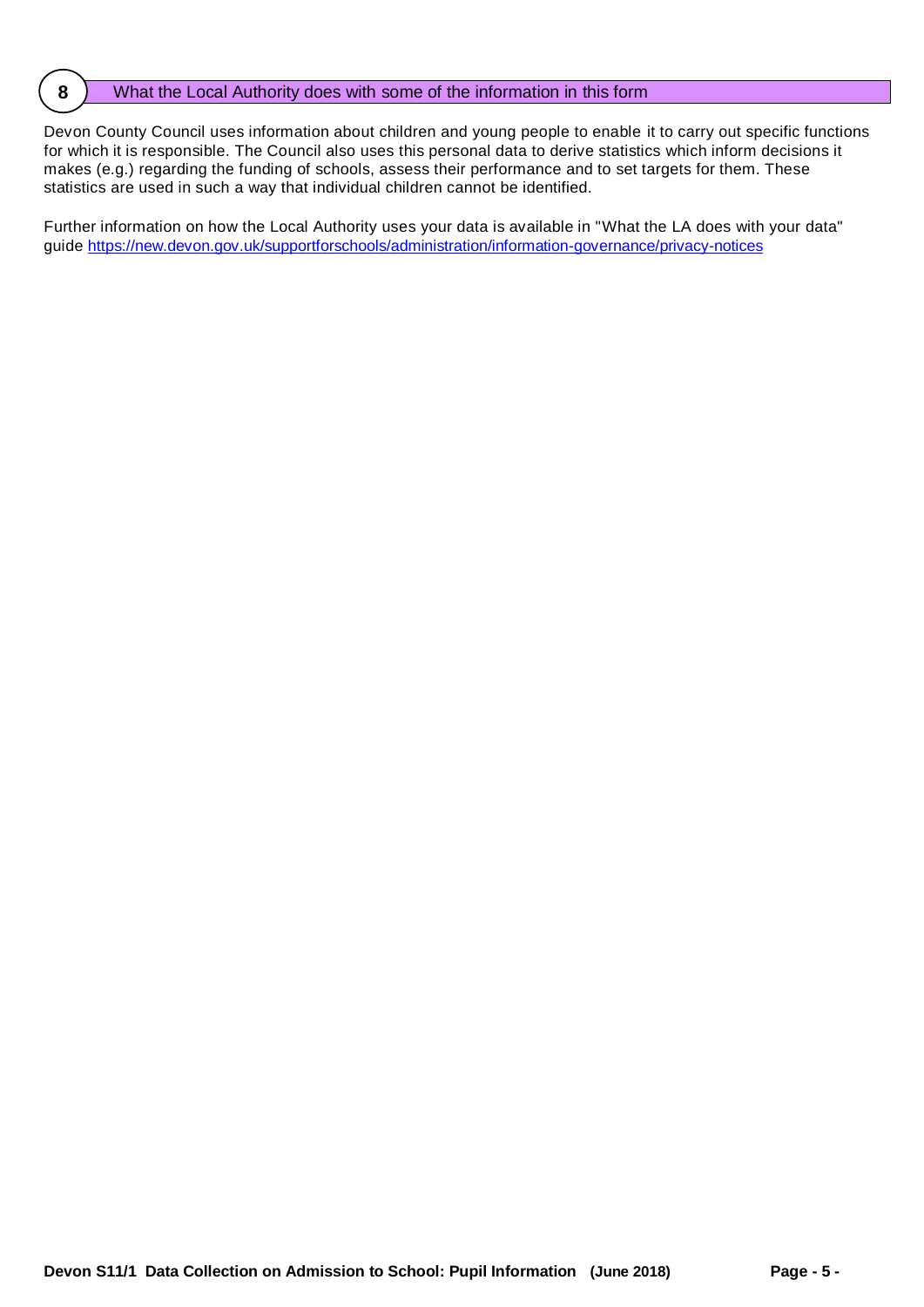# **8** What the Local Authority does with some of the information in this form

Devon County Council uses information about children and young people to enable it to carry out specific functions for which it is responsible. The Council also uses this personal data to derive statistics which inform decisions it makes (e.g.) regarding the funding of schools, assess their performance and to set targets for them. These statistics are used in such a way that individual children cannot be identified.

Further information on how the Local Authority uses your data is available in "What the LA does with your data" guide https://new.devon.gov.uk/supportforschools/administration/information-governance/privacy-notices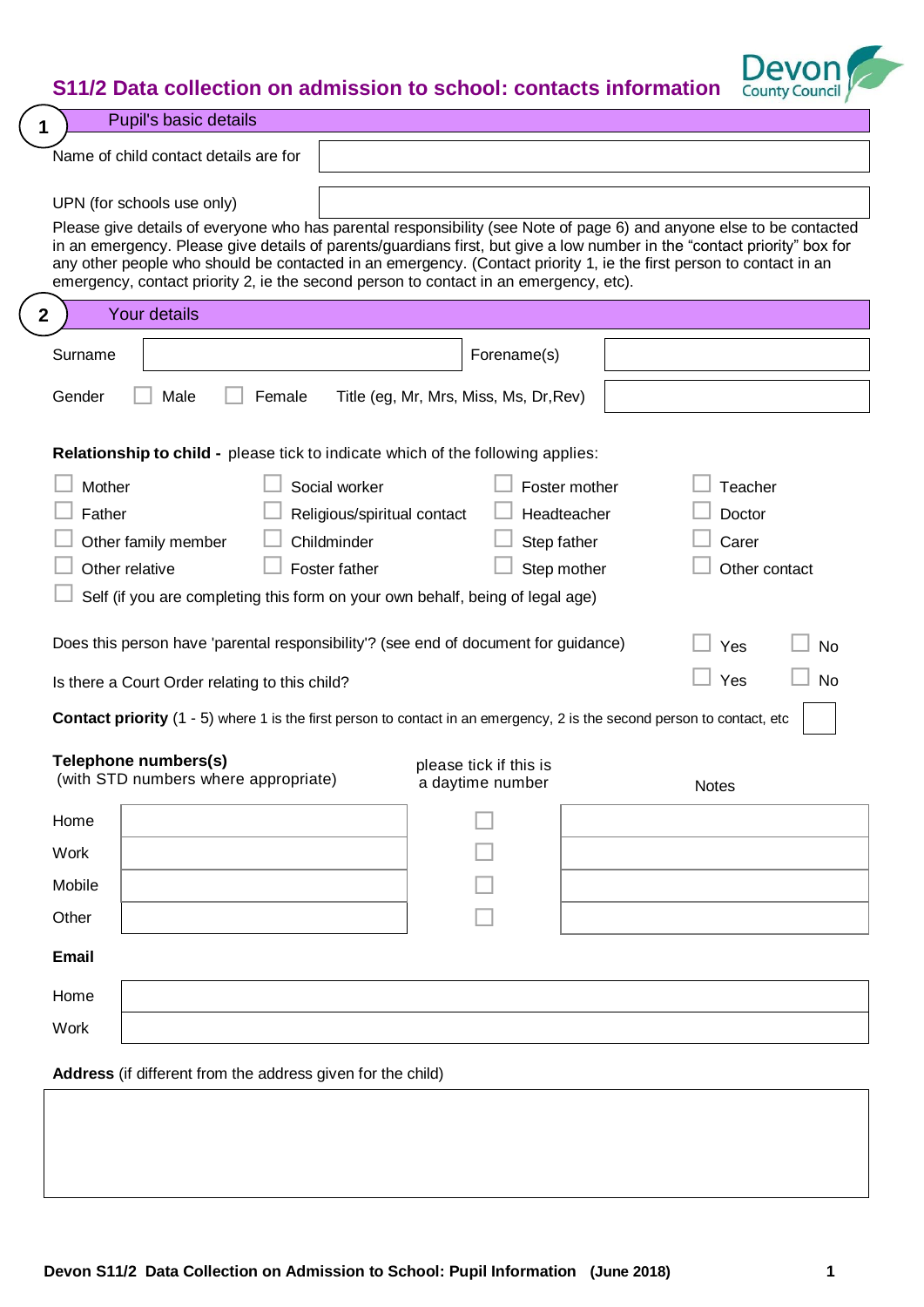# **S11/2 Data collection on admission to school: contacts information**



| <b>Pupil's basic details</b><br>1                                                                                                                                                                                                                                                                                                                                                                                                                                                              |                                            |                                             |                        |
|------------------------------------------------------------------------------------------------------------------------------------------------------------------------------------------------------------------------------------------------------------------------------------------------------------------------------------------------------------------------------------------------------------------------------------------------------------------------------------------------|--------------------------------------------|---------------------------------------------|------------------------|
| Name of child contact details are for                                                                                                                                                                                                                                                                                                                                                                                                                                                          |                                            |                                             |                        |
| UPN (for schools use only)<br>Please give details of everyone who has parental responsibility (see Note of page 6) and anyone else to be contacted<br>in an emergency. Please give details of parents/guardians first, but give a low number in the "contact priority" box for<br>any other people who should be contacted in an emergency. (Contact priority 1, ie the first person to contact in an<br>emergency, contact priority 2, ie the second person to contact in an emergency, etc). |                                            |                                             |                        |
| <b>Your details</b><br>2                                                                                                                                                                                                                                                                                                                                                                                                                                                                       |                                            |                                             |                        |
| Surname                                                                                                                                                                                                                                                                                                                                                                                                                                                                                        | Forename(s)                                |                                             |                        |
| Gender<br>Male<br>Female                                                                                                                                                                                                                                                                                                                                                                                                                                                                       | Title (eg, Mr, Mrs, Miss, Ms, Dr, Rev)     |                                             |                        |
| <b>Relationship to child -</b> please tick to indicate which of the following applies:                                                                                                                                                                                                                                                                                                                                                                                                         |                                            |                                             |                        |
| Mother<br>Social worker<br>Father<br>Religious/spiritual contact<br>Childminder<br>Other family member<br>Other relative<br>Foster father<br>Self (if you are completing this form on your own behalf, being of legal age)                                                                                                                                                                                                                                                                     | Headteacher<br>Step father<br>Step mother  | Foster mother<br>Teacher<br>Doctor<br>Carer | Other contact          |
| Does this person have 'parental responsibility'? (see end of document for guidance)<br>Is there a Court Order relating to this child?                                                                                                                                                                                                                                                                                                                                                          |                                            | Yes<br>Yes                                  | <b>No</b><br><b>No</b> |
| <b>Contact priority</b> (1 - 5) where 1 is the first person to contact in an emergency, 2 is the second person to contact, etc                                                                                                                                                                                                                                                                                                                                                                 |                                            |                                             |                        |
| Telephone numbers(s)<br>(with STD numbers where appropriate)                                                                                                                                                                                                                                                                                                                                                                                                                                   | please tick if this is<br>a daytime number | <b>Notes</b>                                |                        |
| Home                                                                                                                                                                                                                                                                                                                                                                                                                                                                                           |                                            |                                             |                        |
| Work                                                                                                                                                                                                                                                                                                                                                                                                                                                                                           |                                            |                                             |                        |
| Mobile                                                                                                                                                                                                                                                                                                                                                                                                                                                                                         |                                            |                                             |                        |
| Other                                                                                                                                                                                                                                                                                                                                                                                                                                                                                          |                                            |                                             |                        |
| Email                                                                                                                                                                                                                                                                                                                                                                                                                                                                                          |                                            |                                             |                        |
| Home                                                                                                                                                                                                                                                                                                                                                                                                                                                                                           |                                            |                                             |                        |
| Work                                                                                                                                                                                                                                                                                                                                                                                                                                                                                           |                                            |                                             |                        |

**Address** (if different from the address given for the child)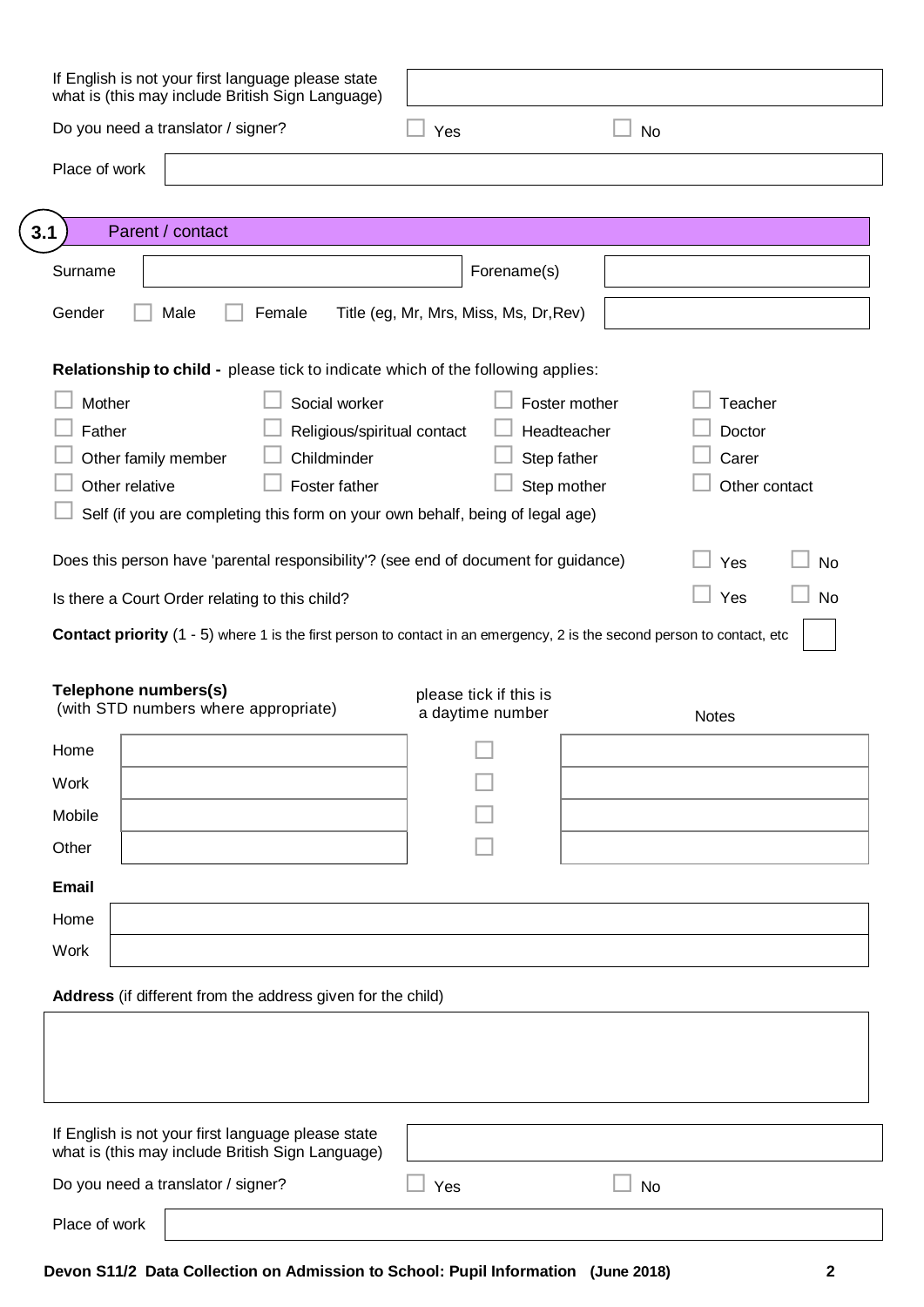| If English is not your first language please state<br>what is (this may include British Sign Language)                         |                                        |                  |
|--------------------------------------------------------------------------------------------------------------------------------|----------------------------------------|------------------|
| Do you need a translator / signer?                                                                                             | Yes                                    | No               |
| Place of work                                                                                                                  |                                        |                  |
| Parent / contact<br>3.1                                                                                                        |                                        |                  |
| Surname                                                                                                                        | Forename(s)                            |                  |
| Gender<br>Male<br>Female                                                                                                       | Title (eg, Mr, Mrs, Miss, Ms, Dr, Rev) |                  |
| Relationship to child - please tick to indicate which of the following applies:                                                |                                        |                  |
| Mother<br>Social worker                                                                                                        | Foster mother                          | Teacher          |
| Father<br>Religious/spiritual contact                                                                                          | Headteacher                            | Doctor           |
| Childminder<br>Other family member                                                                                             | Step father                            | Carer            |
| Other relative<br>Foster father                                                                                                | Step mother                            | Other contact    |
| Self (if you are completing this form on your own behalf, being of legal age)                                                  |                                        |                  |
| Does this person have 'parental responsibility'? (see end of document for guidance)                                            |                                        | Yes<br><b>No</b> |
| Is there a Court Order relating to this child?                                                                                 |                                        | Yes<br><b>No</b> |
| <b>Contact priority</b> (1 - 5) where 1 is the first person to contact in an emergency, 2 is the second person to contact, etc |                                        |                  |
| Telephone numbers(s)                                                                                                           | please tick if this is                 |                  |
| (with STD numbers where appropriate)                                                                                           | a daytime number                       | <b>Notes</b>     |
| Home                                                                                                                           |                                        |                  |
| Work                                                                                                                           |                                        |                  |
| Mobile                                                                                                                         |                                        |                  |
| Other                                                                                                                          |                                        |                  |
| <b>Email</b>                                                                                                                   |                                        |                  |
| Home                                                                                                                           |                                        |                  |
| Work                                                                                                                           |                                        |                  |
| Address (if different from the address given for the child)                                                                    |                                        |                  |
|                                                                                                                                |                                        |                  |
|                                                                                                                                |                                        |                  |
|                                                                                                                                |                                        |                  |
| If English is not your first language please state<br>what is (this may include British Sign Language)                         |                                        |                  |
| Do you need a translator / signer?                                                                                             | Yes                                    | No               |
| Place of work                                                                                                                  |                                        |                  |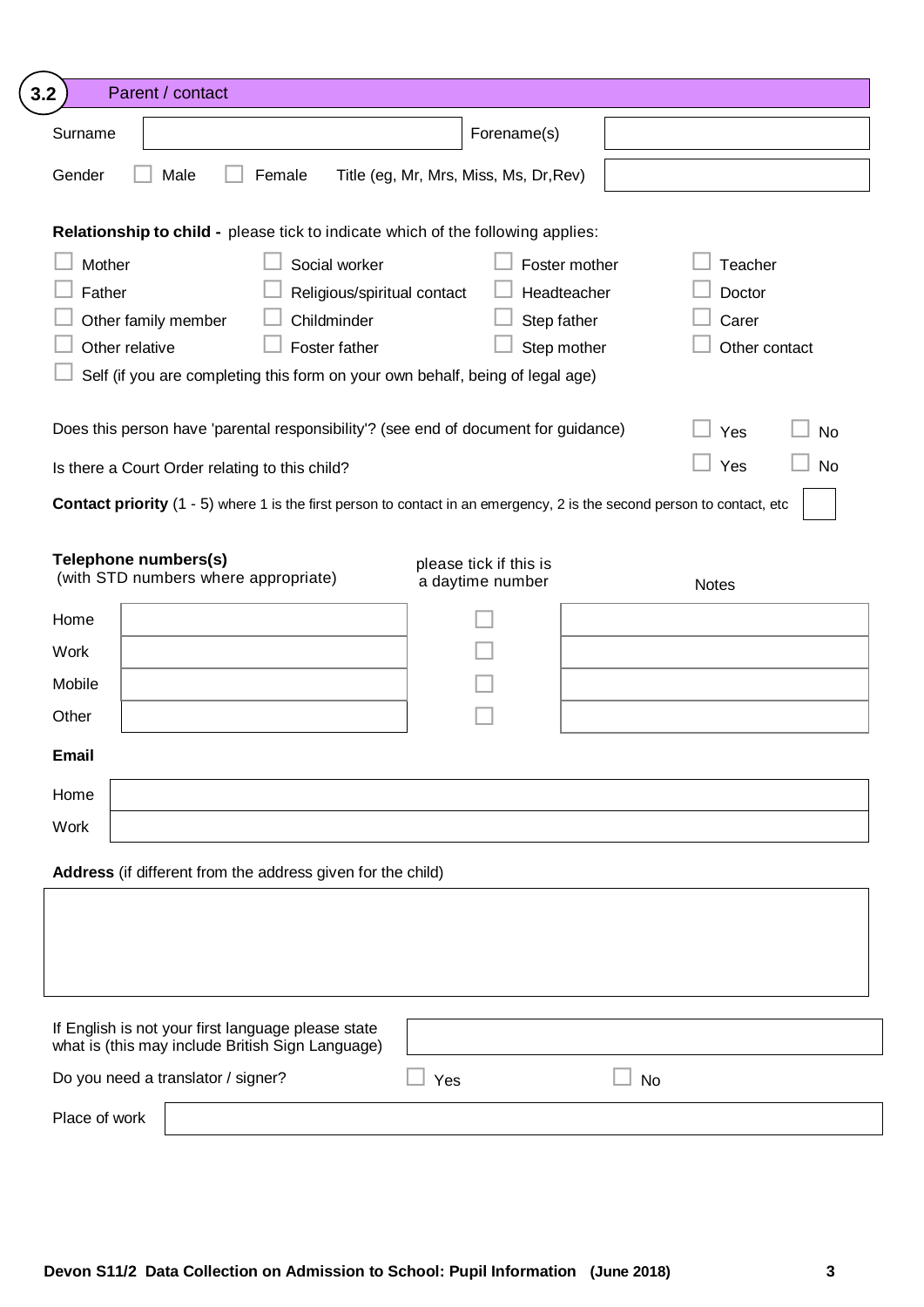| Surname<br>Gender<br>Female<br>Male<br>Relationship to child - please tick to indicate which of the following applies:<br>Mother<br>Social worker<br>Father<br>Religious/spiritual contact<br>Other family member<br>Childminder<br>Other relative<br>Foster father<br>Self (if you are completing this form on your own behalf, being of legal age)<br>Does this person have 'parental responsibility'? (see end of document for guidance)<br>Is there a Court Order relating to this child?<br><b>Contact priority</b> (1 - 5) where 1 is the first person to contact in an emergency, 2 is the second person to contact, etc<br>Telephone numbers(s)<br>(with STD numbers where appropriate)<br>Home<br><b>Work</b><br>Mobile<br>Other<br><b>Email</b><br>Home<br>Work<br>Address (if different from the address given for the child) | Forename(s)<br>Title (eg, Mr, Mrs, Miss, Ms, Dr, Rev)<br>Step father<br>please tick if this is<br>a daytime number | Foster mother<br>Teacher<br>Headteacher<br>Doctor<br>Carer<br>Step mother<br>Other contact<br>Yes<br><b>No</b><br>Yes<br><b>No</b><br><b>Notes</b> |
|------------------------------------------------------------------------------------------------------------------------------------------------------------------------------------------------------------------------------------------------------------------------------------------------------------------------------------------------------------------------------------------------------------------------------------------------------------------------------------------------------------------------------------------------------------------------------------------------------------------------------------------------------------------------------------------------------------------------------------------------------------------------------------------------------------------------------------------|--------------------------------------------------------------------------------------------------------------------|----------------------------------------------------------------------------------------------------------------------------------------------------|
|                                                                                                                                                                                                                                                                                                                                                                                                                                                                                                                                                                                                                                                                                                                                                                                                                                          |                                                                                                                    |                                                                                                                                                    |
|                                                                                                                                                                                                                                                                                                                                                                                                                                                                                                                                                                                                                                                                                                                                                                                                                                          |                                                                                                                    |                                                                                                                                                    |
|                                                                                                                                                                                                                                                                                                                                                                                                                                                                                                                                                                                                                                                                                                                                                                                                                                          |                                                                                                                    |                                                                                                                                                    |
|                                                                                                                                                                                                                                                                                                                                                                                                                                                                                                                                                                                                                                                                                                                                                                                                                                          |                                                                                                                    |                                                                                                                                                    |
|                                                                                                                                                                                                                                                                                                                                                                                                                                                                                                                                                                                                                                                                                                                                                                                                                                          |                                                                                                                    |                                                                                                                                                    |
|                                                                                                                                                                                                                                                                                                                                                                                                                                                                                                                                                                                                                                                                                                                                                                                                                                          |                                                                                                                    |                                                                                                                                                    |
|                                                                                                                                                                                                                                                                                                                                                                                                                                                                                                                                                                                                                                                                                                                                                                                                                                          |                                                                                                                    |                                                                                                                                                    |
|                                                                                                                                                                                                                                                                                                                                                                                                                                                                                                                                                                                                                                                                                                                                                                                                                                          |                                                                                                                    |                                                                                                                                                    |
|                                                                                                                                                                                                                                                                                                                                                                                                                                                                                                                                                                                                                                                                                                                                                                                                                                          |                                                                                                                    |                                                                                                                                                    |
|                                                                                                                                                                                                                                                                                                                                                                                                                                                                                                                                                                                                                                                                                                                                                                                                                                          |                                                                                                                    |                                                                                                                                                    |
|                                                                                                                                                                                                                                                                                                                                                                                                                                                                                                                                                                                                                                                                                                                                                                                                                                          |                                                                                                                    |                                                                                                                                                    |
|                                                                                                                                                                                                                                                                                                                                                                                                                                                                                                                                                                                                                                                                                                                                                                                                                                          |                                                                                                                    |                                                                                                                                                    |
|                                                                                                                                                                                                                                                                                                                                                                                                                                                                                                                                                                                                                                                                                                                                                                                                                                          |                                                                                                                    |                                                                                                                                                    |
|                                                                                                                                                                                                                                                                                                                                                                                                                                                                                                                                                                                                                                                                                                                                                                                                                                          |                                                                                                                    |                                                                                                                                                    |
|                                                                                                                                                                                                                                                                                                                                                                                                                                                                                                                                                                                                                                                                                                                                                                                                                                          |                                                                                                                    |                                                                                                                                                    |
|                                                                                                                                                                                                                                                                                                                                                                                                                                                                                                                                                                                                                                                                                                                                                                                                                                          |                                                                                                                    |                                                                                                                                                    |
|                                                                                                                                                                                                                                                                                                                                                                                                                                                                                                                                                                                                                                                                                                                                                                                                                                          |                                                                                                                    |                                                                                                                                                    |
|                                                                                                                                                                                                                                                                                                                                                                                                                                                                                                                                                                                                                                                                                                                                                                                                                                          |                                                                                                                    |                                                                                                                                                    |
|                                                                                                                                                                                                                                                                                                                                                                                                                                                                                                                                                                                                                                                                                                                                                                                                                                          |                                                                                                                    |                                                                                                                                                    |
|                                                                                                                                                                                                                                                                                                                                                                                                                                                                                                                                                                                                                                                                                                                                                                                                                                          |                                                                                                                    |                                                                                                                                                    |
|                                                                                                                                                                                                                                                                                                                                                                                                                                                                                                                                                                                                                                                                                                                                                                                                                                          |                                                                                                                    |                                                                                                                                                    |
|                                                                                                                                                                                                                                                                                                                                                                                                                                                                                                                                                                                                                                                                                                                                                                                                                                          |                                                                                                                    |                                                                                                                                                    |
|                                                                                                                                                                                                                                                                                                                                                                                                                                                                                                                                                                                                                                                                                                                                                                                                                                          |                                                                                                                    |                                                                                                                                                    |
|                                                                                                                                                                                                                                                                                                                                                                                                                                                                                                                                                                                                                                                                                                                                                                                                                                          |                                                                                                                    |                                                                                                                                                    |
|                                                                                                                                                                                                                                                                                                                                                                                                                                                                                                                                                                                                                                                                                                                                                                                                                                          |                                                                                                                    |                                                                                                                                                    |
| If English is not your first language please state<br>what is (this may include British Sign Language)                                                                                                                                                                                                                                                                                                                                                                                                                                                                                                                                                                                                                                                                                                                                   |                                                                                                                    |                                                                                                                                                    |
| Do you need a translator / signer?                                                                                                                                                                                                                                                                                                                                                                                                                                                                                                                                                                                                                                                                                                                                                                                                       |                                                                                                                    |                                                                                                                                                    |
| Place of work                                                                                                                                                                                                                                                                                                                                                                                                                                                                                                                                                                                                                                                                                                                                                                                                                            | Yes                                                                                                                | <b>No</b>                                                                                                                                          |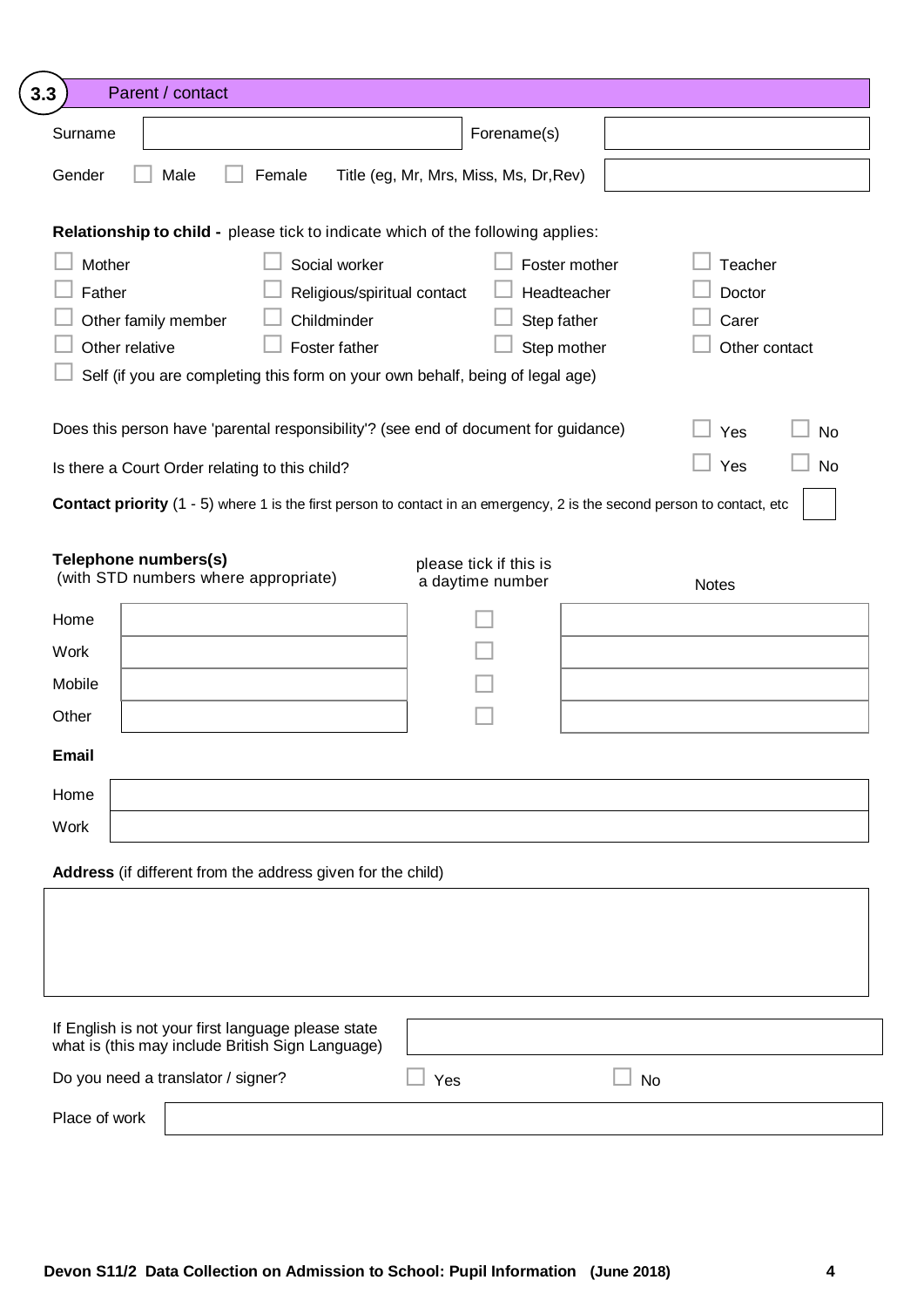| Parent / contact<br>3.3                                                                                                                                                                                                    |                                        |                                                                                            |
|----------------------------------------------------------------------------------------------------------------------------------------------------------------------------------------------------------------------------|----------------------------------------|--------------------------------------------------------------------------------------------|
| Surname                                                                                                                                                                                                                    | Forename(s)                            |                                                                                            |
| Gender<br>Male<br>Female                                                                                                                                                                                                   | Title (eg, Mr, Mrs, Miss, Ms, Dr, Rev) |                                                                                            |
| Relationship to child - please tick to indicate which of the following applies:                                                                                                                                            |                                        |                                                                                            |
| Mother<br>Social worker<br>Father<br>Religious/spiritual contact<br>Other family member<br>Childminder<br>Other relative<br>Foster father<br>Self (if you are completing this form on your own behalf, being of legal age) | Step father                            | Teacher<br>Foster mother<br>Headteacher<br>Doctor<br>Carer<br>Step mother<br>Other contact |
| Does this person have 'parental responsibility'? (see end of document for guidance)                                                                                                                                        |                                        | Yes<br><b>No</b>                                                                           |
| Is there a Court Order relating to this child?                                                                                                                                                                             |                                        | Yes<br><b>No</b>                                                                           |
| <b>Contact priority</b> (1 - 5) where 1 is the first person to contact in an emergency, 2 is the second person to contact, etc                                                                                             |                                        |                                                                                            |
| (with STD numbers where appropriate)<br>Home<br>Work<br>Mobile<br>Other                                                                                                                                                    | a daytime number                       | <b>Notes</b>                                                                               |
| <b>Email</b>                                                                                                                                                                                                               |                                        |                                                                                            |
| Home                                                                                                                                                                                                                       |                                        |                                                                                            |
| Work                                                                                                                                                                                                                       |                                        |                                                                                            |
| Address (if different from the address given for the child)                                                                                                                                                                |                                        |                                                                                            |
|                                                                                                                                                                                                                            |                                        |                                                                                            |
| If English is not your first language please state<br>what is (this may include British Sign Language)                                                                                                                     |                                        |                                                                                            |
| Do you need a translator / signer?                                                                                                                                                                                         | Yes                                    | <b>No</b>                                                                                  |
| Place of work                                                                                                                                                                                                              |                                        |                                                                                            |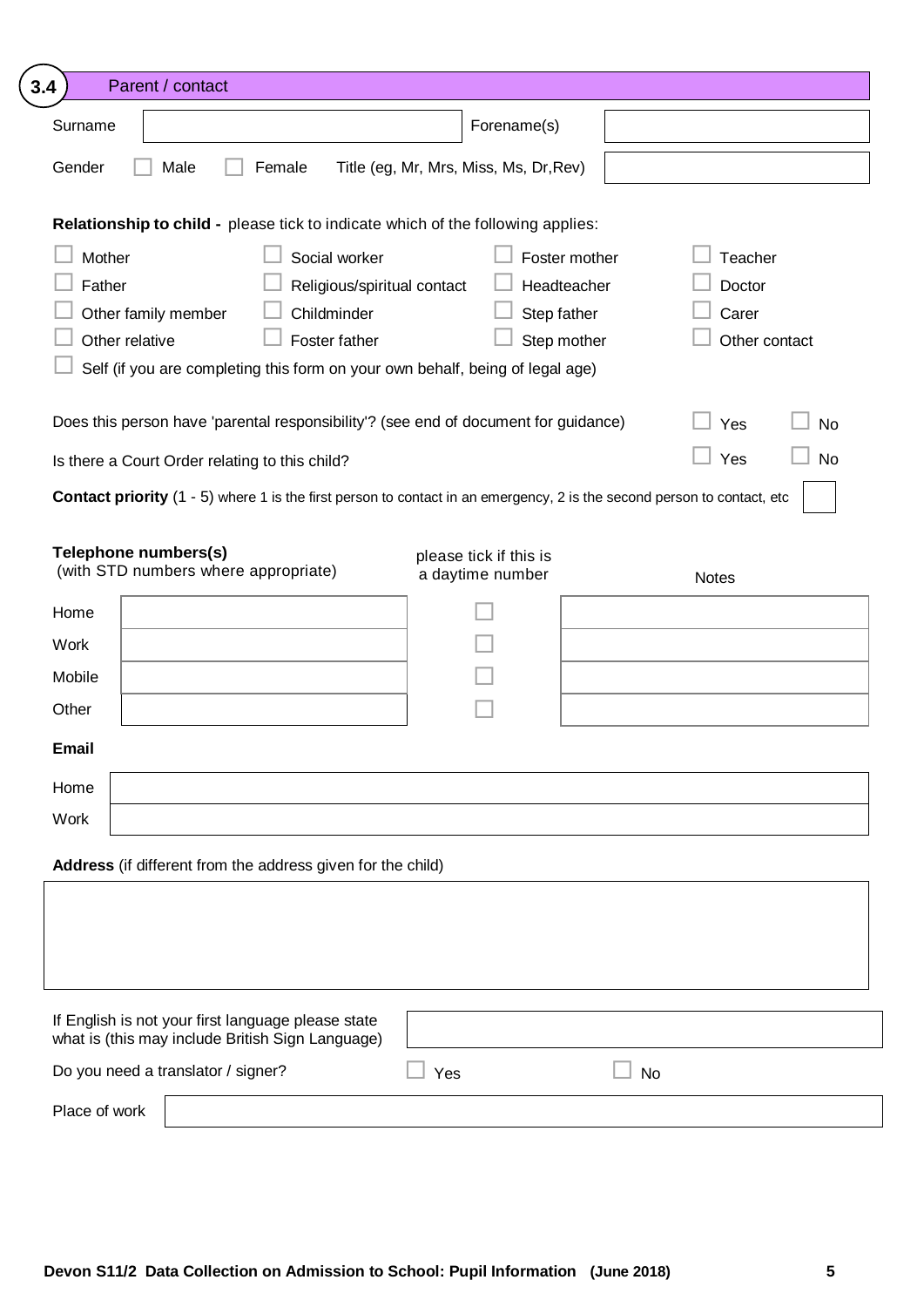| 3.4                                                       | Parent / contact                                                                                                               |                                                                              |                                                            |    |                                             |           |
|-----------------------------------------------------------|--------------------------------------------------------------------------------------------------------------------------------|------------------------------------------------------------------------------|------------------------------------------------------------|----|---------------------------------------------|-----------|
| Surname                                                   |                                                                                                                                |                                                                              | Forename(s)                                                |    |                                             |           |
| Gender                                                    | Male<br>Female                                                                                                                 |                                                                              | Title (eg, Mr, Mrs, Miss, Ms, Dr, Rev)                     |    |                                             |           |
|                                                           | Relationship to child - please tick to indicate which of the following applies:                                                |                                                                              |                                                            |    |                                             |           |
| Mother<br>Father<br>Other family member<br>Other relative | Self (if you are completing this form on your own behalf, being of legal age)                                                  | Social worker<br>Religious/spiritual contact<br>Childminder<br>Foster father | Foster mother<br>Headteacher<br>Step father<br>Step mother |    | Teacher<br>Doctor<br>Carer<br>Other contact |           |
|                                                           | Does this person have 'parental responsibility'? (see end of document for guidance)                                            |                                                                              |                                                            |    | Yes                                         | <b>No</b> |
|                                                           | Is there a Court Order relating to this child?                                                                                 |                                                                              |                                                            |    | Yes                                         | <b>No</b> |
|                                                           | <b>Contact priority</b> (1 - 5) where 1 is the first person to contact in an emergency, 2 is the second person to contact, etc |                                                                              |                                                            |    |                                             |           |
| Telephone numbers(s)<br>Home<br>Work<br>Mobile            | (with STD numbers where appropriate)                                                                                           |                                                                              | please tick if this is<br>a daytime number                 |    | <b>Notes</b>                                |           |
| Other                                                     |                                                                                                                                |                                                                              |                                                            |    |                                             |           |
| <b>Email</b>                                              |                                                                                                                                |                                                                              |                                                            |    |                                             |           |
| Home<br>Work                                              |                                                                                                                                |                                                                              |                                                            |    |                                             |           |
|                                                           | Address (if different from the address given for the child)                                                                    |                                                                              |                                                            |    |                                             |           |
|                                                           |                                                                                                                                |                                                                              |                                                            |    |                                             |           |
|                                                           | If English is not your first language please state<br>what is (this may include British Sign Language)                         |                                                                              |                                                            |    |                                             |           |
|                                                           | Do you need a translator / signer?                                                                                             |                                                                              | Yes                                                        | No |                                             |           |
|                                                           |                                                                                                                                |                                                                              |                                                            |    |                                             |           |